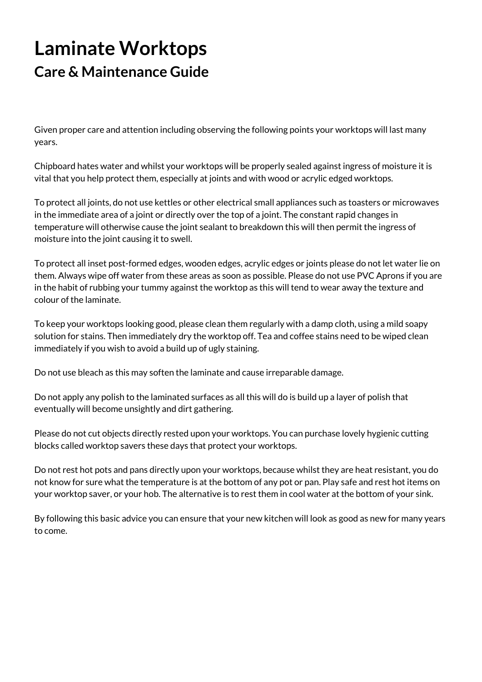## **Laminate Worktops Care & Maintenance Guide**

Given proper care and attention including observing the following points your worktops will last many years.

Chipboard hates water and whilst your worktops will be properly sealed against ingress of moisture it is vital that you help protect them, especially at joints and with wood or acrylic edged worktops.

To protect all joints, do not use kettles or other electrical small appliances such as toasters or microwaves in the immediate area of a joint or directly over the top of a joint. The constant rapid changes in temperature will otherwise cause the joint sealant to breakdown this will then permit the ingress of moisture into the joint causing it to swell.

To protect all inset post-formed edges, wooden edges, acrylic edges or joints please do not let water lie on them. Always wipe off water from these areas as soon as possible. Please do not use PVC Aprons if you are in the habit of rubbing your tummy against the worktop as this will tend to wear away the texture and colour of the laminate.

To keep your worktops looking good, please clean them regularly with a damp cloth, using a mild soapy solution for stains. Then immediately dry the worktop off. Tea and coffee stains need to be wiped clean immediately if you wish to avoid a build up of ugly staining.

Do not use bleach as this may soften the laminate and cause irreparable damage.

Do not apply any polish to the laminated surfaces as all this will do is build up a layer of polish that eventually will become unsightly and dirt gathering.

Please do not cut objects directly rested upon your worktops. You can purchase lovely hygienic cutting blocks called worktop savers these days that protect your worktops.

Do not rest hot pots and pans directly upon your worktops, because whilst they are heat resistant, you do not know for sure what the temperature is at the bottom of any pot or pan. Play safe and rest hot items on your worktop saver, or your hob. The alternative is to rest them in cool water at the bottom of your sink.

By following this basic advice you can ensure that your new kitchen will look as good as new for many years to come.